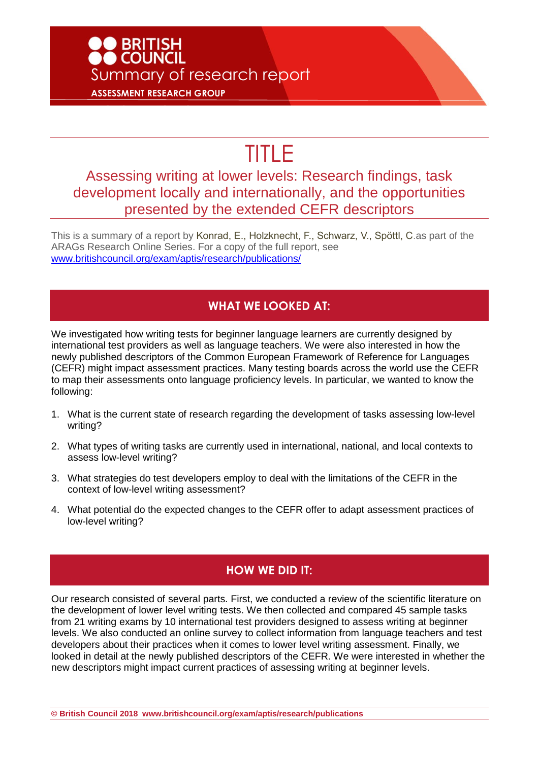## O BRITISH<br>O COUNCIL Summary of research report **ASSESSMENT RESEARCH GROUP**

# TITLE

### Assessing writing at lower levels: Research findings, task development locally and internationally, and the opportunities presented by the extended CEFR descriptors

This is a summary of a report by Konrad, E., Holzknecht, F., Schwarz, V., Spöttl, C.as part of the ARAGs Research Online Series. For a copy of the full report, see [www.britishcouncil.org/exam/aptis/research/publications/](http://www.britishcouncil.org/exam/aptis/research/publications/)

#### **WHAT WE LOOKED AT:**

We investigated how writing tests for beginner language learners are currently designed by international test providers as well as language teachers. We were also interested in how the newly published descriptors of the Common European Framework of Reference for Languages (CEFR) might impact assessment practices. Many testing boards across the world use the CEFR to map their assessments onto language proficiency levels. In particular, we wanted to know the following:

- 1. What is the current state of research regarding the development of tasks assessing low-level writing?
- 2. What types of writing tasks are currently used in international, national, and local contexts to assess low-level writing?
- 3. What strategies do test developers employ to deal with the limitations of the CEFR in the context of low-level writing assessment?
- 4. What potential do the expected changes to the CEFR offer to adapt assessment practices of low-level writing?

#### **HOW WE DID IT:**

Our research consisted of several parts. First, we conducted a review of the scientific literature on the development of lower level writing tests. We then collected and compared 45 sample tasks from 21 writing exams by 10 international test providers designed to assess writing at beginner levels. We also conducted an online survey to collect information from language teachers and test developers about their practices when it comes to lower level writing assessment. Finally, we looked in detail at the newly published descriptors of the CEFR. We were interested in whether the new descriptors might impact current practices of assessing writing at beginner levels.